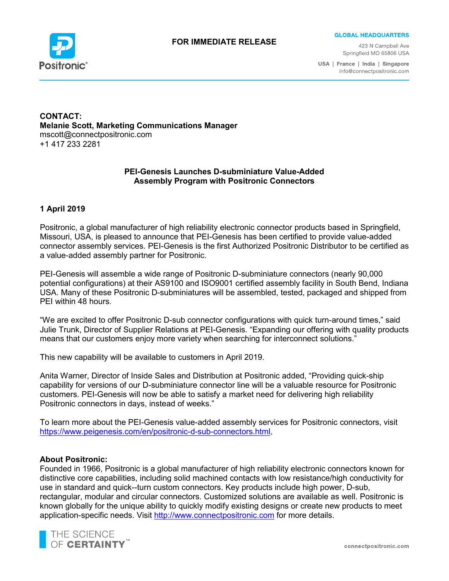

#### **FOR IMMEDIATE RELEASE**

**GLOBAL HEADQUARTERS** 

423 N Campbell Ave Springfield MO 65806 USA

USA | France | India | Singapore info@connectpositronic.com

**CONTACT: Melanie Scott, Marketing Communications Manager** mscott@connectpositronic.com +1 417 233 2281

# **PEI-Genesis Launches D-subminiature Value-Added Assembly Program with Positronic Connectors**

# **1 April 2019**

Positronic, a global manufacturer of high reliability electronic connector products based in Springfield, Missouri, USA, is pleased to announce that PEI-Genesis has been certified to provide value-added connector assembly services. PEI-Genesis is the first Authorized Positronic Distributor to be certified as a value-added assembly partner for Positronic.

PEI-Genesis will assemble a wide range of Positronic D-subminiature connectors (nearly 90,000 potential configurations) at their AS9100 and ISO9001 certified assembly facility in South Bend, Indiana USA. Many of these Positronic D-subminiatures will be assembled, tested, packaged and shipped from PEI within 48 hours.

"We are excited to offer Positronic D-sub connector configurations with quick turn-around times," said Julie Trunk, Director of Supplier Relations at PEI-Genesis. "Expanding our offering with quality products means that our customers enjoy more variety when searching for interconnect solutions."

This new capability will be available to customers in April 2019.

Anita Warner, Director of Inside Sales and Distribution at Positronic added, "Providing quick-ship capability for versions of our D-subminiature connector line will be a valuable resource for Positronic customers. PEI-Genesis will now be able to satisfy a market need for delivering high reliability Positronic connectors in days, instead of weeks."

To learn more about the PEI-Genesis value-added assembly services for Positronic connectors, visit <https://www.peigenesis.com/en/positronic-d-sub-connectors.html>

#### **About Positronic:**

Founded in 1966, Positronic is a global manufacturer of high reliability electronic connectors known for distinctive core capabilities, including solid machined contacts with low resistance/high conductivity for use in standard and quick--turn custom connectors. Key products include high power, D-sub, rectangular, modular and circular connectors. Customized solutions are available as well. Positronic is known globally for the unique ability to quickly modify existing designs or create new products to meet application-specific needs. Visit [http://www.connectpositronic.com](http://www.connectpositronic.com/) for more details.